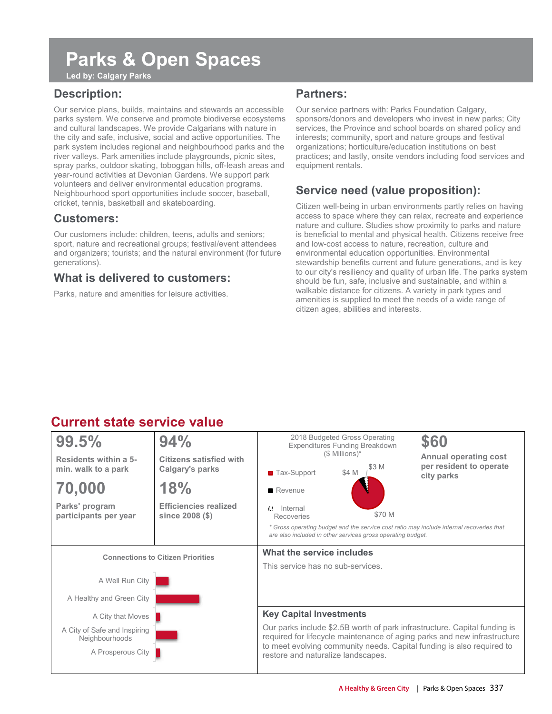## **Parks & Open Spaces**

**Led by: Calgary Parks** 

### **Description:**

Our service plans, builds, maintains and stewards an accessible parks system. We conserve and promote biodiverse ecosystems and cultural landscapes. We provide Calgarians with nature in the city and safe, inclusive, social and active opportunities. The park system includes regional and neighbourhood parks and the river valleys. Park amenities include playgrounds, picnic sites, spray parks, outdoor skating, toboggan hills, off-leash areas and year-round activities at Devonian Gardens. We support park volunteers and deliver environmental education programs. Neighbourhood sport opportunities include soccer, baseball, cricket, tennis, basketball and skateboarding.

#### **Customers:**

Our customers include: children, teens, adults and seniors; sport, nature and recreational groups; festival/event attendees and organizers; tourists; and the natural environment (for future generations).

#### **What is delivered to customers:**

Parks, nature and amenities for leisure activities.

#### **Partners:**

Our service partners with: Parks Foundation Calgary, sponsors/donors and developers who invest in new parks; City services, the Province and school boards on shared policy and interests; community, sport and nature groups and festival organizations; horticulture/education institutions on best practices; and lastly, onsite vendors including food services and equipment rentals.

### **Service need (value proposition):**

Citizen well-being in urban environments partly relies on having access to space where they can relax, recreate and experience nature and culture. Studies show proximity to parks and nature is beneficial to mental and physical health. Citizens receive free and low-cost access to nature, recreation, culture and environmental education opportunities. Environmental stewardship benefits current and future generations, and is key to our city's resiliency and quality of urban life. The parks system should be fun, safe, inclusive and sustainable, and within a walkable distance for citizens. A variety in park types and amenities is supplied to meet the needs of a wide range of citizen ages, abilities and interests.

### **Current state service value**

| 99.5%                                          | 94%                                               |                                                                                                             | 2018 Budgeted Gross Operating<br><b>Expenditures Funding Breakdown</b> | \$60   |                                                                                                                                                       |  |  |  |
|------------------------------------------------|---------------------------------------------------|-------------------------------------------------------------------------------------------------------------|------------------------------------------------------------------------|--------|-------------------------------------------------------------------------------------------------------------------------------------------------------|--|--|--|
| Residents within a 5-<br>min. walk to a park   | <b>Citizens satisfied with</b><br>Calgary's parks | ■ Tax-Support                                                                                               | $($$ Millions)*<br>\$4 M                                               |        | <b>Annual operating cost</b><br>per resident to operate<br>city parks                                                                                 |  |  |  |
| 70,000                                         | 18%                                               | Revenue                                                                                                     |                                                                        |        |                                                                                                                                                       |  |  |  |
| Parks' program<br>participants per year        | <b>Efficiencies realized</b><br>since 2008 (\$)   | Internal<br>$\sim$<br>Recoveries                                                                            |                                                                        | \$70 M |                                                                                                                                                       |  |  |  |
|                                                |                                                   | are also included in other services gross operating budget.                                                 |                                                                        |        | * Gross operating budget and the service cost ratio may include internal recoveries that                                                              |  |  |  |
| <b>Connections to Citizen Priorities</b>       |                                                   | What the service includes                                                                                   |                                                                        |        |                                                                                                                                                       |  |  |  |
|                                                | This service has no sub-services.                 |                                                                                                             |                                                                        |        |                                                                                                                                                       |  |  |  |
| A Well Run City                                |                                                   |                                                                                                             |                                                                        |        |                                                                                                                                                       |  |  |  |
| A Healthy and Green City                       |                                                   |                                                                                                             |                                                                        |        |                                                                                                                                                       |  |  |  |
| A City that Moves                              |                                                   | <b>Key Capital Investments</b>                                                                              |                                                                        |        |                                                                                                                                                       |  |  |  |
| A City of Safe and Inspiring<br>Neighbourhoods |                                                   |                                                                                                             |                                                                        |        | Our parks include \$2.5B worth of park infrastructure. Capital funding is<br>required for lifecycle maintenance of aging parks and new infrastructure |  |  |  |
| A Prosperous City                              |                                                   | to meet evolving community needs. Capital funding is also required to<br>restore and naturalize landscapes. |                                                                        |        |                                                                                                                                                       |  |  |  |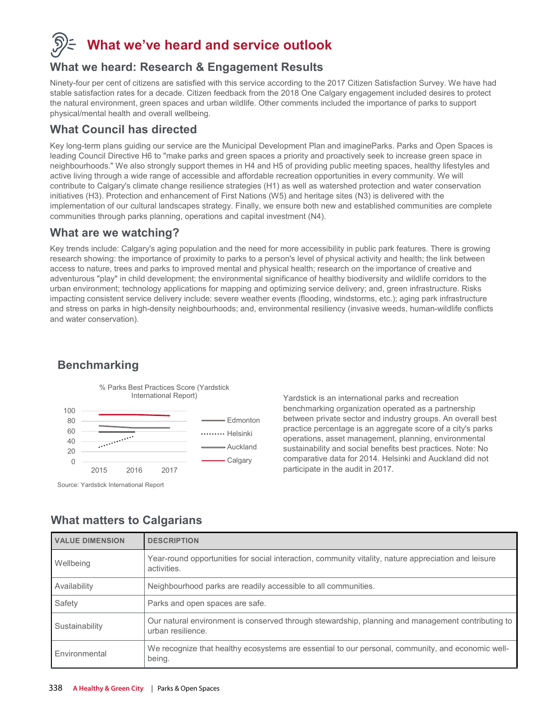

### **What we've heard and service outlook**

#### **What we heard: Research & Engagement Results**

Ninety-four per cent of citizens are satisfied with this service according to the 2017 Citizen Satisfaction Survey. We have had stable satisfaction rates for a decade. Citizen feedback from the 2018 One Calgary engagement included desires to protect the natural environment, green spaces and urban wildlife. Other comments included the importance of parks to support physical/mental health and overall wellbeing.

### **What Council has directed**

Key long-term plans guiding our service are the Municipal Development Plan and imagineParks. Parks and Open Spaces is leading Council Directive H6 to "make parks and green spaces a priority and proactively seek to increase green space in neighbourhoods." We also strongly support themes in H4 and H5 of providing public meeting spaces, healthy lifestyles and active living through a wide range of accessible and affordable recreation opportunities in every community. We will contribute to Calgary's climate change resilience strategies (H1) as well as watershed protection and water conservation initiatives (H3). Protection and enhancement of First Nations (W5) and heritage sites (N3) is delivered with the implementation of our cultural landscapes strategy. Finally, we ensure both new and established communities are complete communities through parks planning, operations and capital investment (N4).

#### **What are we watching?**

Key trends include: Calgary's aging population and the need for more accessibility in public park features. There is growing research showing: the importance of proximity to parks to a person's level of physical activity and health; the link between access to nature, trees and parks to improved mental and physical health; research on the importance of creative and adventurous "play" in child development; the environmental significance of healthy biodiversity and wildlife corridors to the urban environment; technology applications for mapping and optimizing service delivery; and, green infrastructure. Risks impacting consistent service delivery include: severe weather events (flooding, windstorms, etc.); aging park infrastructure and stress on parks in high-density neighbourhoods; and, environmental resiliency (invasive weeds, human-wildlife conflicts and water conservation).

### **Benchmarking**



Source: Yardstick International Report

Yardstick is an international parks and recreation benchmarking organization operated as a partnership between private sector and industry groups. An overall best practice percentage is an aggregate score of a city's parks operations, asset management, planning, environmental sustainability and social benefits best practices. Note: No comparative data for 2014. Helsinki and Auckland did not participate in the audit in 2017.

### **What matters to Calgarians**

| <b>VALUE DIMENSION</b> | <b>DESCRIPTION</b>                                                                                                     |
|------------------------|------------------------------------------------------------------------------------------------------------------------|
| Wellbeing              | Year-round opportunities for social interaction, community vitality, nature appreciation and leisure<br>activities.    |
| Availability           | Neighbourhood parks are readily accessible to all communities.                                                         |
| Safety                 | Parks and open spaces are safe.                                                                                        |
| Sustainability         | Our natural environment is conserved through stewardship, planning and management contributing to<br>urban resilience. |
| Environmental          | We recognize that healthy ecosystems are essential to our personal, community, and economic well-<br>being.            |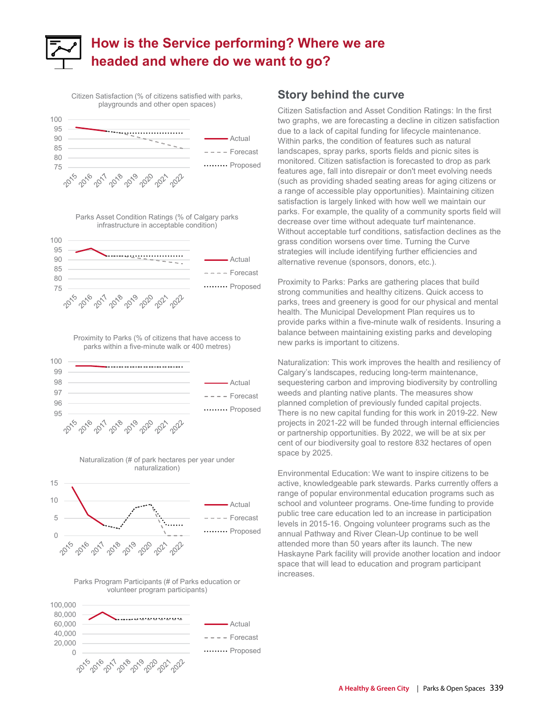

Citizen Satisfaction (% of citizens satisfied with parks, playgrounds and other open spaces)



#### Parks Asset Condition Ratings (% of Calgary parks infrastructure in acceptable condition)



Proximity to Parks (% of citizens that have access to parks within a five-minute walk or 400 metres)











#### **Story behind the curve**

Citizen Satisfaction and Asset Condition Ratings: In the first two graphs, we are forecasting a decline in citizen satisfaction due to a lack of capital funding for lifecycle maintenance. Within parks, the condition of features such as natural landscapes, spray parks, sports fields and picnic sites is monitored. Citizen satisfaction is forecasted to drop as park features age, fall into disrepair or don't meet evolving needs (such as providing shaded seating areas for aging citizens or a range of accessible play opportunities). Maintaining citizen satisfaction is largely linked with how well we maintain our parks. For example, the quality of a community sports field will decrease over time without adequate turf maintenance. Without acceptable turf conditions, satisfaction declines as the grass condition worsens over time. Turning the Curve strategies will include identifying further efficiencies and alternative revenue (sponsors, donors, etc.).

Proximity to Parks: Parks are gathering places that build strong communities and healthy citizens. Quick access to parks, trees and greenery is good for our physical and mental health. The Municipal Development Plan requires us to provide parks within a five-minute walk of residents. Insuring a balance between maintaining existing parks and developing new parks is important to citizens.

Naturalization: This work improves the health and resiliency of Calgary's landscapes, reducing long-term maintenance, sequestering carbon and improving biodiversity by controlling weeds and planting native plants. The measures show planned completion of previously funded capital projects. There is no new capital funding for this work in 2019-22. New projects in 2021-22 will be funded through internal efficiencies or partnership opportunities. By 2022, we will be at six per cent of our biodiversity goal to restore 832 hectares of open space by 2025.

Environmental Education: We want to inspire citizens to be active, knowledgeable park stewards. Parks currently offers a range of popular environmental education programs such as school and volunteer programs. One-time funding to provide public tree care education led to an increase in participation levels in 2015-16. Ongoing volunteer programs such as the annual Pathway and River Clean-Up continue to be well attended more than 50 years after its launch. The new Haskayne Park facility will provide another location and indoor space that will lead to education and program participant increases.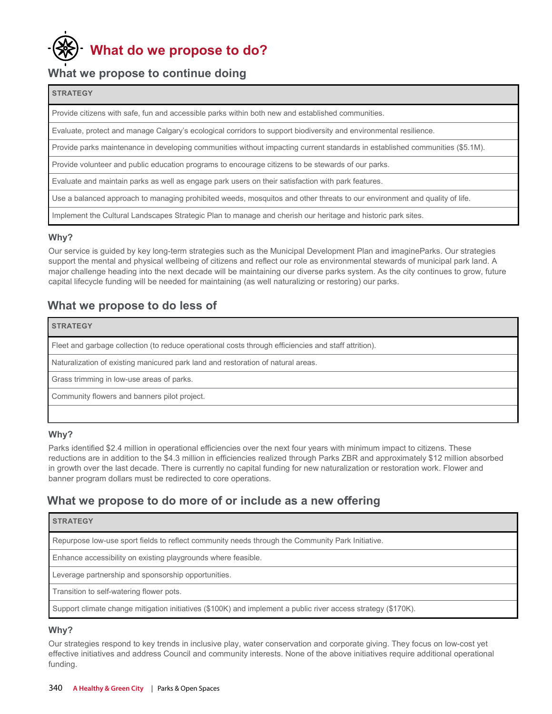# **What do we propose to do?**

#### **What we propose to continue doing**

#### **STRATEGY**

Provide citizens with safe, fun and accessible parks within both new and established communities.

Evaluate, protect and manage Calgary's ecological corridors to support biodiversity and environmental resilience.

Provide parks maintenance in developing communities without impacting current standards in established communities (\$5.1M).

Provide volunteer and public education programs to encourage citizens to be stewards of our parks.

Evaluate and maintain parks as well as engage park users on their satisfaction with park features.

Use a balanced approach to managing prohibited weeds, mosquitos and other threats to our environment and quality of life.

Implement the Cultural Landscapes Strategic Plan to manage and cherish our heritage and historic park sites.

#### **Why?**

**STRATEGY**

Our service is guided by key long-term strategies such as the Municipal Development Plan and imagineParks. Our strategies support the mental and physical wellbeing of citizens and reflect our role as environmental stewards of municipal park land. A major challenge heading into the next decade will be maintaining our diverse parks system. As the city continues to grow, future capital lifecycle funding will be needed for maintaining (as well naturalizing or restoring) our parks.

#### **What we propose to do less of**

### Fleet and garbage collection (to reduce operational costs through efficiencies and staff attrition).

Naturalization of existing manicured park land and restoration of natural areas.

Grass trimming in low-use areas of parks.

Community flowers and banners pilot project.

#### **Why?**

Parks identified \$2.4 million in operational efficiencies over the next four years with minimum impact to citizens. These reductions are in addition to the \$4.3 million in efficiencies realized through Parks ZBR and approximately \$12 million absorbed in growth over the last decade. There is currently no capital funding for new naturalization or restoration work. Flower and banner program dollars must be redirected to core operations.

#### **What we propose to do more of or include as a new offering**

#### **STRATEGY**

Repurpose low-use sport fields to reflect community needs through the Community Park Initiative.

Enhance accessibility on existing playgrounds where feasible.

Leverage partnership and sponsorship opportunities.

Transition to self-watering flower pots.

Support climate change mitigation initiatives (\$100K) and implement a public river access strategy (\$170K).

#### **Why?**

Our strategies respond to key trends in inclusive play, water conservation and corporate giving. They focus on low-cost yet effective initiatives and address Council and community interests. None of the above initiatives require additional operational funding.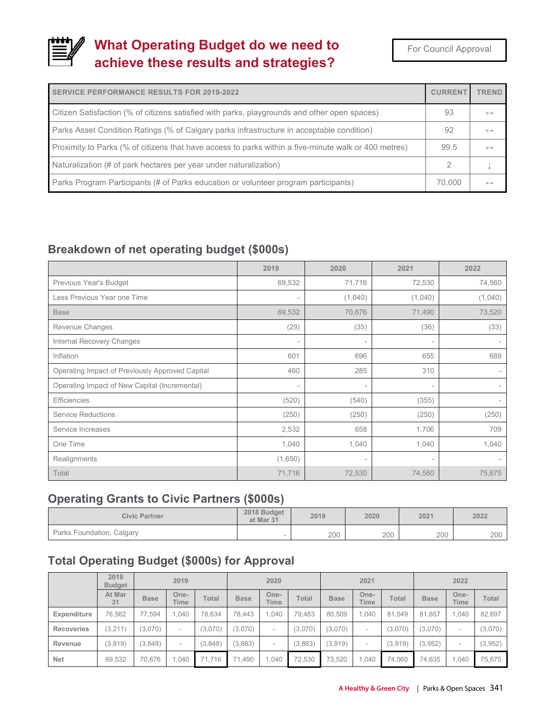### **What Operating Budget do we need to achieve these results and strategies?**

For Council Approval

| <b>SERVICE PERFORMANCE RESULTS FOR 2019-2022</b>                                                     | <b>CURRENT</b> | <b>TREND</b>      |
|------------------------------------------------------------------------------------------------------|----------------|-------------------|
| Citizen Satisfaction (% of citizens satisfied with parks, playgrounds and other open spaces)         | 93             | $\leftrightarrow$ |
| Parks Asset Condition Ratings (% of Calgary parks infrastructure in acceptable condition)            | 92             | $\leftrightarrow$ |
| Proximity to Parks (% of citizens that have access to parks within a five-minute walk or 400 metres) | 99.5           | $\leftrightarrow$ |
| Naturalization (# of park hectares per year under naturalization)                                    |                |                   |
| Parks Program Participants (# of Parks education or volunteer program participants)                  | 70,000         | $\leftrightarrow$ |

### **Breakdown of net operating budget (\$000s)**

|                                                 | 2019                     | 2020                     | 2021                     | 2022           |
|-------------------------------------------------|--------------------------|--------------------------|--------------------------|----------------|
| Previous Year's Budget                          | 69,532                   | 71,716                   | 72,530                   | 74,560         |
| Less Previous Year one Time                     | $\overline{\phantom{a}}$ | (1,040)                  | (1,040)                  | (1,040)        |
| <b>Base</b>                                     | 69,532                   | 70,676                   | 71,490                   | 73,520         |
| Revenue Changes                                 | (29)                     | (35)                     | (36)                     | (33)           |
| Internal Recovery Changes                       | $\overline{\phantom{a}}$ |                          | $\overline{\phantom{a}}$ |                |
| Inflation                                       | 601                      | 696                      | 655                      | 689            |
| Operating Impact of Previously Approved Capital | 460                      | 285                      | 310                      |                |
| Operating Impact of New Capital (Incremental)   | $\overline{\phantom{a}}$ | $\overline{\phantom{a}}$ | $\overline{\phantom{a}}$ | $\overline{a}$ |
| <b>Efficiencies</b>                             | (520)                    | (540)                    | (355)                    |                |
| <b>Service Reductions</b>                       | (250)                    | (250)                    | (250)                    | (250)          |
| Service Increases                               | 2,532                    | 658                      | 1,706                    | 709            |
| One Time                                        | 1,040                    | 1,040                    | 1,040                    | 1,040          |
| Realignments                                    | (1,650)                  | $\overline{\phantom{a}}$ | $\overline{\phantom{a}}$ |                |
| Total                                           | 71,716                   | 72,530                   | 74,560                   | 75,675         |

### **Operating Grants to Civic Partners (\$000s)**

| <b>Civic Partner</b>      | 2018 Budget<br>at Mar 31 | 2019 | 2020 | 2021 | 2022 |  |
|---------------------------|--------------------------|------|------|------|------|--|
| Parks Foundation, Calgary |                          | 200  | 200  | 200  | 200  |  |

### **Total Operating Budget (\$000s) for Approval**

|                   | 2018<br><b>Budget</b> |             | 2019                     |         |             | 2020                     |              |             | 2021                |         |             | 2022                |              |
|-------------------|-----------------------|-------------|--------------------------|---------|-------------|--------------------------|--------------|-------------|---------------------|---------|-------------|---------------------|--------------|
|                   | At Mar<br>31          | <b>Base</b> | One-<br>Time             | Total   | <b>Base</b> | One-<br>Time             | <b>Total</b> | <b>Base</b> | One-<br><b>Time</b> | Total   | <b>Base</b> | One-<br><b>Time</b> | <b>Total</b> |
| Expenditure       | 76,562                | 77.594      | 1.040                    | 78.634  | 78.443      | ,040                     | 79,483       | 80,509      | 1.040               | 81,549  | 81,657      | 1,040               | 82,697       |
| <b>Recoveries</b> | (3, 211)              | (3,070)     | $\overline{\phantom{a}}$ | (3,070) | (3,070)     | ۰                        | (3,070)      | (3,070)     | -                   | (3,070) | (3,070)     |                     | (3,070)      |
| Revenue           | (3,819)               | (3,848)     | $\overline{\phantom{a}}$ | (3,848) | (3,883)     | $\overline{\phantom{a}}$ | (3,883)      | (3,919)     | -                   | (3,919) | (3,952)     | -                   | (3,952)      |
| <b>Net</b>        | 69,532                | 70,676      | .040                     | 71,716  | 71,490      | ,040                     | 72,530       | 73,520      | 1.040               | 74,560  | 74,635      | 1,040               | 75,675       |